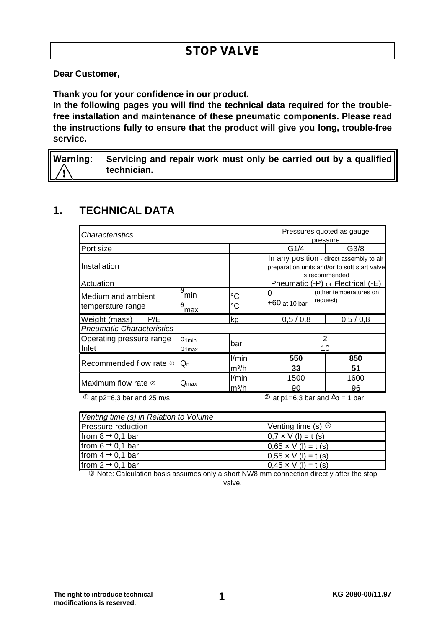**Dear Customer,**

**Thank you for your confidence in our product.**

**In the following pages you will find the technical data required for the troublefree installation and maintenance of these pneumatic components. Please read the instructions fully to ensure that the product will give you long, trouble-free service.**

**Warning**: **Servicing and repair work must only be carried out by a qualified technician.**

# **1. TECHNICAL DATA**

| <i><b>Characteristics</b></i>            |                                         |                            | Pressures quoted as gauge<br>pressure                                                                      |                  |  |  |  |
|------------------------------------------|-----------------------------------------|----------------------------|------------------------------------------------------------------------------------------------------------|------------------|--|--|--|
| Port size                                |                                         |                            | G1/4                                                                                                       | G <sub>3/8</sub> |  |  |  |
| IInstallation                            |                                         |                            | In any position - direct assembly to air<br>preparation units and/or to soft start valve<br>is recommended |                  |  |  |  |
| Actuation                                |                                         |                            | Pneumatic (-P) or Electrical (-E)                                                                          |                  |  |  |  |
| Medium and ambient<br>temperature range  | $\eta$<br>min<br>max                    | °C<br>$^{\circ}C$          | (other temperatures on<br>0<br>request)<br>+60 at 10 bar                                                   |                  |  |  |  |
| Weight (mass)<br>P/E                     |                                         | kg                         | 0,5/0,8<br>0,5/0,8                                                                                         |                  |  |  |  |
| <b>Pneumatic Characteristics</b>         |                                         |                            |                                                                                                            |                  |  |  |  |
| Operating pressure range<br><b>Inlet</b> | P <sub>1min</sub><br>P <sub>1</sub> max | bar                        | $\overline{2}$<br>10                                                                                       |                  |  |  |  |
| Recommended flow rate $\Phi$             | $Q_{n}$                                 | l/min<br>m <sup>3</sup> /h | 550<br>33                                                                                                  | 850<br>51        |  |  |  |
| Maximum flow rate 2                      | $\mathsf{Q}_{\textsf{max}}$             | l/min<br>$m^3/h$           | 1500<br>90                                                                                                 | 1600<br>96       |  |  |  |

 $\overline{O}$  at p2=6,3 bar and 25 m/s  $\overline{O}$  at p1=6,3 bar and  $\Delta p = 1$  bar

| Venting time (s) in Relation to Volume |                             |  |  |  |  |
|----------------------------------------|-----------------------------|--|--|--|--|
| Pressure reduction                     | Venting time $(s)$ 3        |  |  |  |  |
| from $8 \rightarrow 0.1$ bar           | $0.7 \times V$ (l) = t (s)  |  |  |  |  |
| from $6 \rightarrow 0.1$ bar           | $0.65 \times V$ (l) = t (s) |  |  |  |  |
| from $4 \rightarrow 0.1$ bar           | $0,55 \times V (I) = t (s)$ |  |  |  |  |
| from $2 \rightarrow 0,1$ bar           | $0.45 \times V$ (l) = t (s) |  |  |  |  |

**E** Note: Calculation basis assumes only a short NW8 mm connection directly after the stop valve.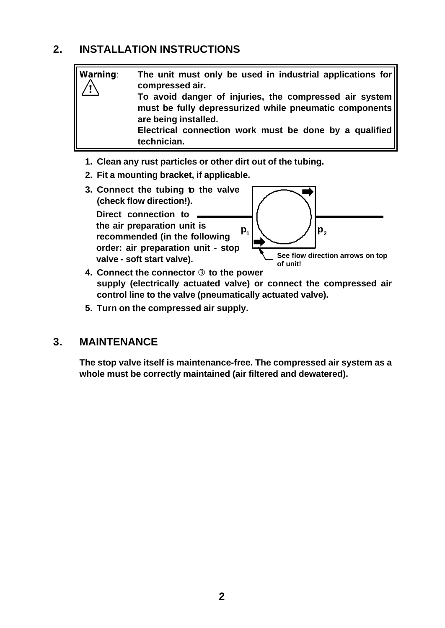# **2. INSTALLATION INSTRUCTIONS**

**Warning**: **The unit must only be used in industrial applications for compressed air. To avoid danger of injuries, the compressed air system must be fully depressurized while pneumatic components are being installed. Electrical connection work must be done by a qualified technician.**

- **1. Clean any rust particles or other dirt out of the tubing.**
- **2. Fit a mounting bracket, if applicable.**



- **supply (electrically actuated valve) or connect the compressed air control line to the valve (pneumatically actuated valve).**
- **5. Turn on the compressed air supply.**

## **3. MAINTENANCE**

**The stop valve itself is maintenance-free. The compressed air system as a whole must be correctly maintained (air filtered and dewatered).**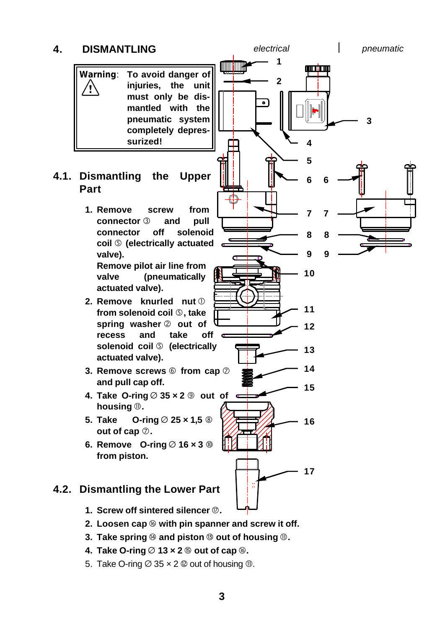

- **4. Take O-ring**  $\emptyset$  13  $\times$  2  $\emptyset$  out of cap  $\emptyset$ .
- 5. Take O-ring  $\varnothing$  35  $\times$  2  $\varnothing$  out of housing  $\varnothing$ .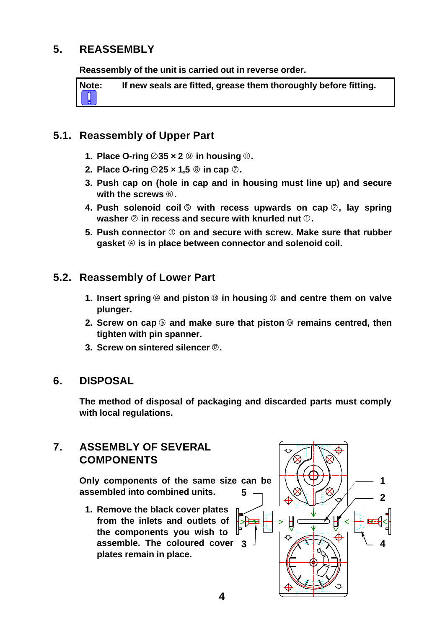# **5. REASSEMBLY**

**Reassembly of the unit is carried out in reverse order.**

**Note: If new seals are fitted, grease them thoroughly before fitting.**

### **5.1. Reassembly of Upper Part**

- **1.** Place O-ring  $\emptyset$ 35  $\times$  2  $\emptyset$  in housing  $\emptyset$ .
- **2. Place O-ring**  $\varnothing$  **25**  $\times$  **1,5**  $\circledcirc$  **in cap**  $\varnothing$ **.**
- **3. Push cap on (hole in cap and in housing must line up) and secure with the screws**  $@$ **.**
- **4.** Push solenoid coil **©** with recess upwards on cap  $\oslash$ , lay spring **washer**  $\oslash$  **in recess and secure with knurled nut**  $\oslash$ **.**
- **5. Push connector** É **on and secure with screw. Make sure that rubber** gasket  $\circled{a}$  is in place between connector and solenoid coil.

## **5.2. Reassembly of Lower Part**

- **1.** Insert spring  $\circledast$  and piston  $\circledast$  in housing  $\circledast$  and centre them on valve **plunger.**
- **2. Screw on cap** î **and make sure that piston** ë **remains centred, then tighten with pin spanner.**
- **3. Screw on sintered silencer**  $\mathcal{D}$ .

### **6. DISPOSAL**

**The method of disposal of packaging and discarded parts must comply with local regulations.**

## **7. ASSEMBLY OF SEVERAL COMPONENTS**

**Only components of the same size can be assembled into combined units. 5**

**1. Remove the black cover plates from the inlets and outlets of the components you wish to assemble. The coloured cover plates remain in place.**